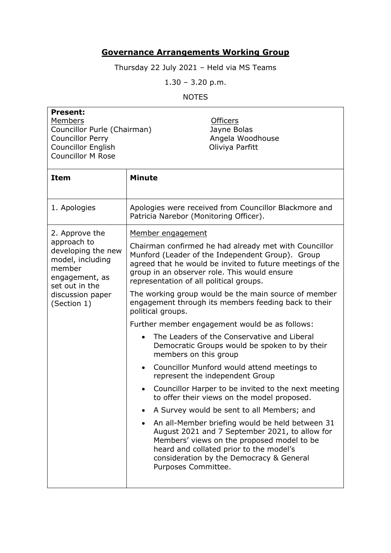## **Governance Arrangements Working Group**

Thursday 22 July 2021 – Held via MS Teams

1.30 – 3.20 p.m.

NOTES

| <b>Present:</b><br>Members<br>Councillor Purle (Chairman)<br><b>Councillor Perry</b><br><b>Councillor English</b><br><b>Councillor M Rose</b>            | <b>Officers</b><br>Jayne Bolas<br>Angela Woodhouse<br>Oliviya Parfitt                                                                                                                                                                                                                                                                                                                                                                                                                                                                                                                                                                                                                                                                                                                                                                                                                                                                                                                                                                                                                                                      |
|----------------------------------------------------------------------------------------------------------------------------------------------------------|----------------------------------------------------------------------------------------------------------------------------------------------------------------------------------------------------------------------------------------------------------------------------------------------------------------------------------------------------------------------------------------------------------------------------------------------------------------------------------------------------------------------------------------------------------------------------------------------------------------------------------------------------------------------------------------------------------------------------------------------------------------------------------------------------------------------------------------------------------------------------------------------------------------------------------------------------------------------------------------------------------------------------------------------------------------------------------------------------------------------------|
| Item                                                                                                                                                     | <b>Minute</b>                                                                                                                                                                                                                                                                                                                                                                                                                                                                                                                                                                                                                                                                                                                                                                                                                                                                                                                                                                                                                                                                                                              |
| 1. Apologies                                                                                                                                             | Apologies were received from Councillor Blackmore and<br>Patricia Narebor (Monitoring Officer).                                                                                                                                                                                                                                                                                                                                                                                                                                                                                                                                                                                                                                                                                                                                                                                                                                                                                                                                                                                                                            |
| 2. Approve the<br>approach to<br>developing the new<br>model, including<br>member<br>engagement, as<br>set out in the<br>discussion paper<br>(Section 1) | Member engagement<br>Chairman confirmed he had already met with Councillor<br>Munford (Leader of the Independent Group). Group<br>agreed that he would be invited to future meetings of the<br>group in an observer role. This would ensure<br>representation of all political groups.<br>The working group would be the main source of member<br>engagement through its members feeding back to their<br>political groups.<br>Further member engagement would be as follows:<br>The Leaders of the Conservative and Liberal<br>Democratic Groups would be spoken to by their<br>members on this group<br>Councillor Munford would attend meetings to<br>$\bullet$<br>represent the independent Group<br>Councillor Harper to be invited to the next meeting<br>to offer their views on the model proposed.<br>A Survey would be sent to all Members; and<br>An all-Member briefing would be held between 31<br>August 2021 and 7 September 2021, to allow for<br>Members' views on the proposed model to be<br>heard and collated prior to the model's<br>consideration by the Democracy & General<br>Purposes Committee. |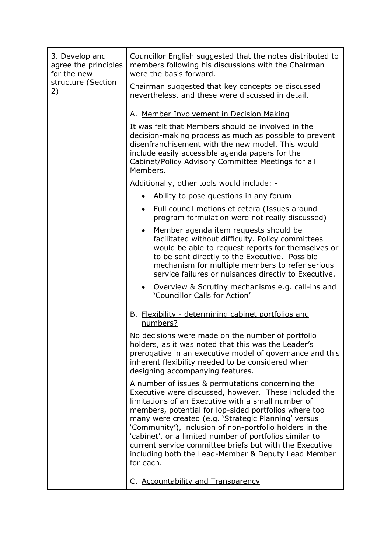| 3. Develop and<br>agree the principles<br>for the new | Councillor English suggested that the notes distributed to<br>members following his discussions with the Chairman<br>were the basis forward.                                                                                                                                                                                                                                                                                                                                                                                         |
|-------------------------------------------------------|--------------------------------------------------------------------------------------------------------------------------------------------------------------------------------------------------------------------------------------------------------------------------------------------------------------------------------------------------------------------------------------------------------------------------------------------------------------------------------------------------------------------------------------|
| structure (Section<br>2)                              | Chairman suggested that key concepts be discussed<br>nevertheless, and these were discussed in detail.                                                                                                                                                                                                                                                                                                                                                                                                                               |
|                                                       | A. Member Involvement in Decision Making                                                                                                                                                                                                                                                                                                                                                                                                                                                                                             |
|                                                       | It was felt that Members should be involved in the<br>decision-making process as much as possible to prevent<br>disenfranchisement with the new model. This would<br>include easily accessible agenda papers for the<br>Cabinet/Policy Advisory Committee Meetings for all<br>Members.                                                                                                                                                                                                                                               |
|                                                       | Additionally, other tools would include: -                                                                                                                                                                                                                                                                                                                                                                                                                                                                                           |
|                                                       | Ability to pose questions in any forum<br>$\bullet$                                                                                                                                                                                                                                                                                                                                                                                                                                                                                  |
|                                                       | Full council motions et cetera (Issues around<br>$\bullet$<br>program formulation were not really discussed)                                                                                                                                                                                                                                                                                                                                                                                                                         |
|                                                       | Member agenda item requests should be<br>$\bullet$<br>facilitated without difficulty. Policy committees<br>would be able to request reports for themselves or<br>to be sent directly to the Executive. Possible<br>mechanism for multiple members to refer serious<br>service failures or nuisances directly to Executive.                                                                                                                                                                                                           |
|                                                       | Overview & Scrutiny mechanisms e.g. call-ins and<br>$\bullet$<br>'Councillor Calls for Action'                                                                                                                                                                                                                                                                                                                                                                                                                                       |
|                                                       | B. Flexibility - determining cabinet portfolios and<br>numbers?                                                                                                                                                                                                                                                                                                                                                                                                                                                                      |
|                                                       | No decisions were made on the number of portfolio<br>holders, as it was noted that this was the Leader's<br>prerogative in an executive model of governance and this<br>inherent flexibility needed to be considered when<br>designing accompanying features.                                                                                                                                                                                                                                                                        |
|                                                       | A number of issues & permutations concerning the<br>Executive were discussed, however. These included the<br>limitations of an Executive with a small number of<br>members, potential for lop-sided portfolios where too<br>many were created (e.g. 'Strategic Planning' versus<br>'Community'), inclusion of non-portfolio holders in the<br>'cabinet', or a limited number of portfolios similar to<br>current service committee briefs but with the Executive<br>including both the Lead-Member & Deputy Lead Member<br>for each. |
|                                                       | C. Accountability and Transparency                                                                                                                                                                                                                                                                                                                                                                                                                                                                                                   |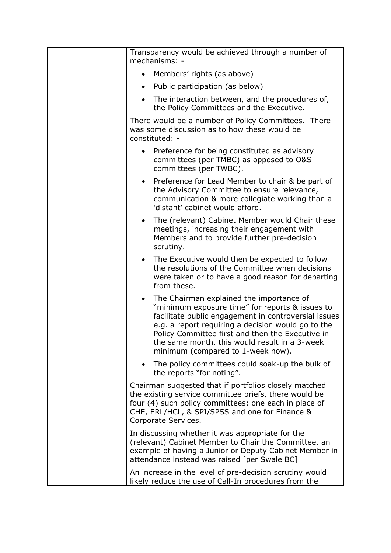| Transparency would be achieved through a number of<br>mechanisms: -                                                                                                                                                                                                                                                                                              |
|------------------------------------------------------------------------------------------------------------------------------------------------------------------------------------------------------------------------------------------------------------------------------------------------------------------------------------------------------------------|
| Members' rights (as above)<br>$\bullet$                                                                                                                                                                                                                                                                                                                          |
| Public participation (as below)<br>$\bullet$                                                                                                                                                                                                                                                                                                                     |
| The interaction between, and the procedures of,<br>$\bullet$<br>the Policy Committees and the Executive.                                                                                                                                                                                                                                                         |
| There would be a number of Policy Committees. There<br>was some discussion as to how these would be<br>constituted: -                                                                                                                                                                                                                                            |
| Preference for being constituted as advisory<br>committees (per TMBC) as opposed to O&S<br>committees (per TWBC).                                                                                                                                                                                                                                                |
| Preference for Lead Member to chair & be part of<br>$\bullet$<br>the Advisory Committee to ensure relevance,<br>communication & more collegiate working than a<br>'distant' cabinet would afford.                                                                                                                                                                |
| The (relevant) Cabinet Member would Chair these<br>$\bullet$<br>meetings, increasing their engagement with<br>Members and to provide further pre-decision<br>scrutiny.                                                                                                                                                                                           |
| The Executive would then be expected to follow<br>$\bullet$<br>the resolutions of the Committee when decisions<br>were taken or to have a good reason for departing<br>from these.                                                                                                                                                                               |
| The Chairman explained the importance of<br>$\bullet$<br>"minimum exposure time" for reports & issues to<br>facilitate public engagement in controversial issues<br>e.g. a report requiring a decision would go to the<br>Policy Committee first and then the Executive in<br>the same month, this would result in a 3-week<br>minimum (compared to 1-week now). |
| The policy committees could soak-up the bulk of<br>the reports "for noting".                                                                                                                                                                                                                                                                                     |
| Chairman suggested that if portfolios closely matched<br>the existing service committee briefs, there would be<br>four (4) such policy committees: one each in place of<br>CHE, ERL/HCL, & SPI/SPSS and one for Finance &<br>Corporate Services.                                                                                                                 |
| In discussing whether it was appropriate for the<br>(relevant) Cabinet Member to Chair the Committee, an<br>example of having a Junior or Deputy Cabinet Member in<br>attendance instead was raised [per Swale BC]                                                                                                                                               |
| An increase in the level of pre-decision scrutiny would<br>likely reduce the use of Call-In procedures from the                                                                                                                                                                                                                                                  |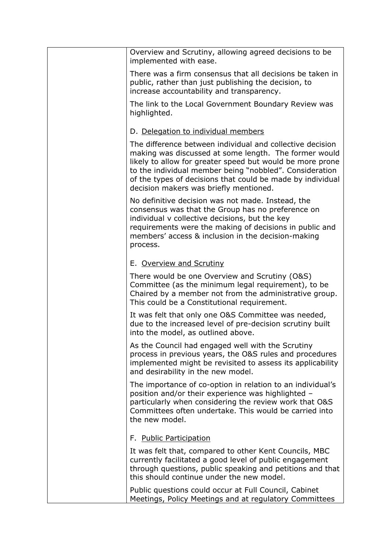| Overview and Scrutiny, allowing agreed decisions to be<br>implemented with ease.                                                                                                                                                                                                                                                                   |
|----------------------------------------------------------------------------------------------------------------------------------------------------------------------------------------------------------------------------------------------------------------------------------------------------------------------------------------------------|
| There was a firm consensus that all decisions be taken in<br>public, rather than just publishing the decision, to<br>increase accountability and transparency.                                                                                                                                                                                     |
| The link to the Local Government Boundary Review was<br>highlighted.                                                                                                                                                                                                                                                                               |
| D. Delegation to individual members                                                                                                                                                                                                                                                                                                                |
| The difference between individual and collective decision<br>making was discussed at some length. The former would<br>likely to allow for greater speed but would be more prone<br>to the individual member being "nobbled". Consideration<br>of the types of decisions that could be made by individual<br>decision makers was briefly mentioned. |
| No definitive decision was not made. Instead, the<br>consensus was that the Group has no preference on<br>individual v collective decisions, but the key<br>requirements were the making of decisions in public and<br>members' access & inclusion in the decision-making<br>process.                                                              |
| E. Overview and Scrutiny                                                                                                                                                                                                                                                                                                                           |
| There would be one Overview and Scrutiny (O&S)<br>Committee (as the minimum legal requirement), to be<br>Chaired by a member not from the administrative group.<br>This could be a Constitutional requirement.                                                                                                                                     |
| It was felt that only one O&S Committee was needed,<br>due to the increased level of pre-decision scrutiny built<br>into the model, as outlined above.                                                                                                                                                                                             |
| As the Council had engaged well with the Scrutiny<br>process in previous years, the O&S rules and procedures<br>implemented might be revisited to assess its applicability<br>and desirability in the new model.                                                                                                                                   |
| The importance of co-option in relation to an individual's<br>position and/or their experience was highlighted -<br>particularly when considering the review work that O&S<br>Committees often undertake. This would be carried into<br>the new model.                                                                                             |
| F. Public Participation                                                                                                                                                                                                                                                                                                                            |
| It was felt that, compared to other Kent Councils, MBC<br>currently facilitated a good level of public engagement<br>through questions, public speaking and petitions and that<br>this should continue under the new model.                                                                                                                        |
| Public questions could occur at Full Council, Cabinet<br>Meetings, Policy Meetings and at regulatory Committees                                                                                                                                                                                                                                    |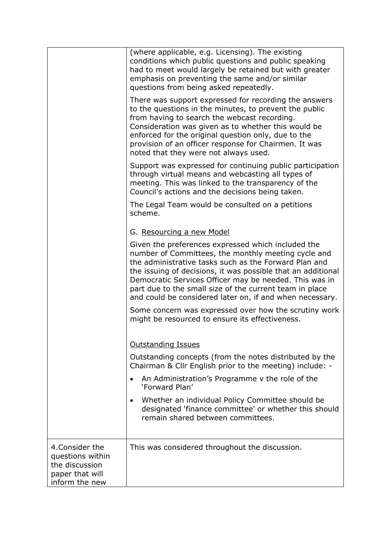|                                                                                            | (where applicable, e.g. Licensing). The existing<br>conditions which public questions and public speaking<br>had to meet would largely be retained but with greater<br>emphasis on preventing the same and/or similar<br>questions from being asked repeatedly.                                                                                                                                                     |
|--------------------------------------------------------------------------------------------|---------------------------------------------------------------------------------------------------------------------------------------------------------------------------------------------------------------------------------------------------------------------------------------------------------------------------------------------------------------------------------------------------------------------|
|                                                                                            | There was support expressed for recording the answers<br>to the questions in the minutes, to prevent the public<br>from having to search the webcast recording.<br>Consideration was given as to whether this would be<br>enforced for the original question only, due to the<br>provision of an officer response for Chairmen. It was<br>noted that they were not always used.                                     |
|                                                                                            | Support was expressed for continuing public participation<br>through virtual means and webcasting all types of<br>meeting. This was linked to the transparency of the<br>Council's actions and the decisions being taken.                                                                                                                                                                                           |
|                                                                                            | The Legal Team would be consulted on a petitions<br>scheme.                                                                                                                                                                                                                                                                                                                                                         |
|                                                                                            | G. Resourcing a new Model                                                                                                                                                                                                                                                                                                                                                                                           |
|                                                                                            | Given the preferences expressed which included the<br>number of Committees, the monthly meeting cycle and<br>the administrative tasks such as the Forward Plan and<br>the issuing of decisions, it was possible that an additional<br>Democratic Services Officer may be needed. This was in<br>part due to the small size of the current team in place<br>and could be considered later on, if and when necessary. |
|                                                                                            | Some concern was expressed over how the scrutiny work<br>might be resourced to ensure its effectiveness.                                                                                                                                                                                                                                                                                                            |
|                                                                                            | <b>Outstanding Issues</b>                                                                                                                                                                                                                                                                                                                                                                                           |
|                                                                                            | Outstanding concepts (from the notes distributed by the<br>Chairman & Cllr English prior to the meeting) include: -                                                                                                                                                                                                                                                                                                 |
|                                                                                            | An Administration's Programme v the role of the<br>'Forward Plan'                                                                                                                                                                                                                                                                                                                                                   |
|                                                                                            | Whether an individual Policy Committee should be<br>designated 'finance committee' or whether this should<br>remain shared between committees.                                                                                                                                                                                                                                                                      |
| 4. Consider the<br>questions within<br>the discussion<br>paper that will<br>inform the new | This was considered throughout the discussion.                                                                                                                                                                                                                                                                                                                                                                      |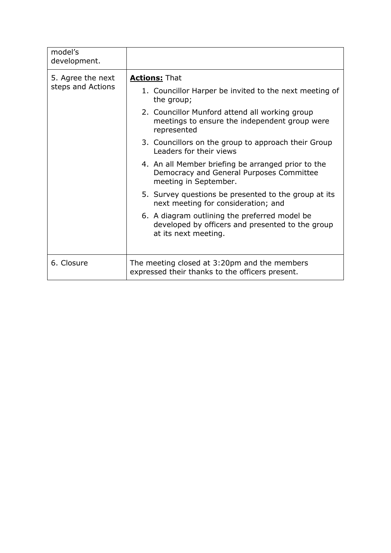| model's<br>development. |                                                                                                                           |
|-------------------------|---------------------------------------------------------------------------------------------------------------------------|
| 5. Agree the next       | <b>Actions: That</b>                                                                                                      |
| steps and Actions       | 1. Councillor Harper be invited to the next meeting of<br>the group;                                                      |
|                         | 2. Councillor Munford attend all working group<br>meetings to ensure the independent group were<br>represented            |
|                         | 3. Councillors on the group to approach their Group<br>Leaders for their views                                            |
|                         | 4. An all Member briefing be arranged prior to the<br>Democracy and General Purposes Committee<br>meeting in September.   |
|                         | 5. Survey questions be presented to the group at its<br>next meeting for consideration; and                               |
|                         | 6. A diagram outlining the preferred model be<br>developed by officers and presented to the group<br>at its next meeting. |
| 6. Closure              | The meeting closed at 3:20pm and the members<br>expressed their thanks to the officers present.                           |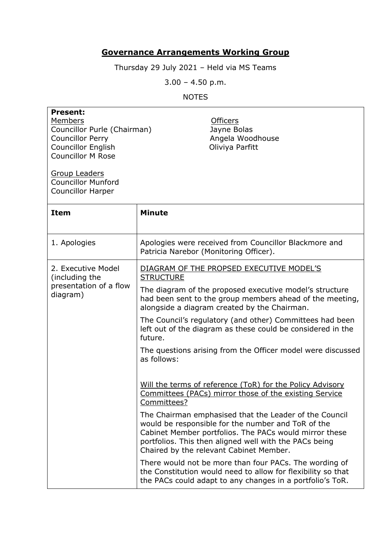## **Governance Arrangements Working Group**

Thursday 29 July 2021 – Held via MS Teams

3.00 – 4.50 p.m.

## NOTES

| <b>Present:</b><br>Members<br>Councillor Purle (Chairman)<br><b>Councillor Perry</b><br><b>Councillor English</b><br><b>Councillor M Rose</b><br><b>Group Leaders</b><br><b>Councillor Munford</b><br><b>Councillor Harper</b> | <b>Officers</b><br>Jayne Bolas<br>Angela Woodhouse<br>Oliviya Parfitt                                                                                                                                                                                                                                                                                                                                                                                                                                                                                                                                                                                                                                                                                                                                                                                                        |
|--------------------------------------------------------------------------------------------------------------------------------------------------------------------------------------------------------------------------------|------------------------------------------------------------------------------------------------------------------------------------------------------------------------------------------------------------------------------------------------------------------------------------------------------------------------------------------------------------------------------------------------------------------------------------------------------------------------------------------------------------------------------------------------------------------------------------------------------------------------------------------------------------------------------------------------------------------------------------------------------------------------------------------------------------------------------------------------------------------------------|
| <b>Item</b>                                                                                                                                                                                                                    | <b>Minute</b>                                                                                                                                                                                                                                                                                                                                                                                                                                                                                                                                                                                                                                                                                                                                                                                                                                                                |
| 1. Apologies                                                                                                                                                                                                                   | Apologies were received from Councillor Blackmore and<br>Patricia Narebor (Monitoring Officer).                                                                                                                                                                                                                                                                                                                                                                                                                                                                                                                                                                                                                                                                                                                                                                              |
| 2. Executive Model<br>(including the<br>presentation of a flow<br>diagram)                                                                                                                                                     | DIAGRAM OF THE PROPSED EXECUTIVE MODEL'S<br><b>STRUCTURE</b><br>The diagram of the proposed executive model's structure<br>had been sent to the group members ahead of the meeting,<br>alongside a diagram created by the Chairman.<br>The Council's regulatory (and other) Committees had been<br>left out of the diagram as these could be considered in the<br>future.<br>The questions arising from the Officer model were discussed<br>as follows:<br>Will the terms of reference (ToR) for the Policy Advisory<br>Committees (PACs) mirror those of the existing Service<br>Committees?<br>The Chairman emphasised that the Leader of the Council<br>would be responsible for the number and ToR of the<br>Cabinet Member portfolios. The PACs would mirror these<br>portfolios. This then aligned well with the PACs being<br>Chaired by the relevant Cabinet Member. |
|                                                                                                                                                                                                                                | There would not be more than four PACs. The wording of<br>the Constitution would need to allow for flexibility so that<br>the PACs could adapt to any changes in a portfolio's ToR.                                                                                                                                                                                                                                                                                                                                                                                                                                                                                                                                                                                                                                                                                          |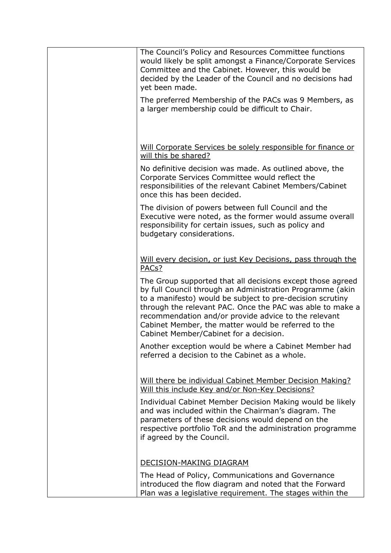| The Council's Policy and Resources Committee functions<br>would likely be split amongst a Finance/Corporate Services<br>Committee and the Cabinet. However, this would be<br>decided by the Leader of the Council and no decisions had<br>yet been made.                                                                                                                                                   |
|------------------------------------------------------------------------------------------------------------------------------------------------------------------------------------------------------------------------------------------------------------------------------------------------------------------------------------------------------------------------------------------------------------|
| The preferred Membership of the PACs was 9 Members, as<br>a larger membership could be difficult to Chair.                                                                                                                                                                                                                                                                                                 |
| Will Corporate Services be solely responsible for finance or<br>will this be shared?                                                                                                                                                                                                                                                                                                                       |
| No definitive decision was made. As outlined above, the<br>Corporate Services Committee would reflect the<br>responsibilities of the relevant Cabinet Members/Cabinet<br>once this has been decided.                                                                                                                                                                                                       |
| The division of powers between full Council and the<br>Executive were noted, as the former would assume overall<br>responsibility for certain issues, such as policy and<br>budgetary considerations.                                                                                                                                                                                                      |
| Will every decision, or just Key Decisions, pass through the<br>PACs?                                                                                                                                                                                                                                                                                                                                      |
| The Group supported that all decisions except those agreed<br>by full Council through an Administration Programme (akin<br>to a manifesto) would be subject to pre-decision scrutiny<br>through the relevant PAC. Once the PAC was able to make a<br>recommendation and/or provide advice to the relevant<br>Cabinet Member, the matter would be referred to the<br>Cabinet Member/Cabinet for a decision. |
| Another exception would be where a Cabinet Member had<br>referred a decision to the Cabinet as a whole.                                                                                                                                                                                                                                                                                                    |
| Will there be individual Cabinet Member Decision Making?<br>Will this include Key and/or Non-Key Decisions?                                                                                                                                                                                                                                                                                                |
| Individual Cabinet Member Decision Making would be likely<br>and was included within the Chairman's diagram. The<br>parameters of these decisions would depend on the<br>respective portfolio ToR and the administration programme<br>if agreed by the Council.                                                                                                                                            |
| DECISION-MAKING DIAGRAM                                                                                                                                                                                                                                                                                                                                                                                    |
| The Head of Policy, Communications and Governance<br>introduced the flow diagram and noted that the Forward<br>Plan was a legislative requirement. The stages within the                                                                                                                                                                                                                                   |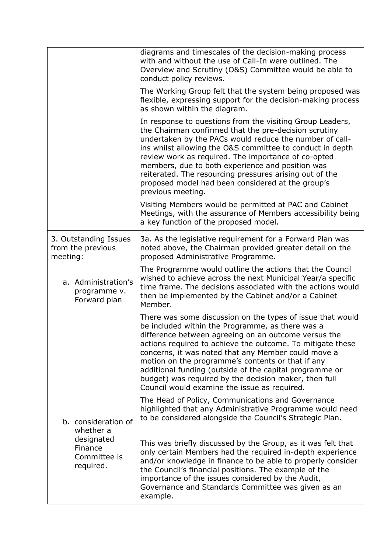|                                                        | diagrams and timescales of the decision-making process<br>with and without the use of Call-In were outlined. The<br>Overview and Scrutiny (O&S) Committee would be able to<br>conduct policy reviews.                                                                                                                                                                                                                                                                                                                |
|--------------------------------------------------------|----------------------------------------------------------------------------------------------------------------------------------------------------------------------------------------------------------------------------------------------------------------------------------------------------------------------------------------------------------------------------------------------------------------------------------------------------------------------------------------------------------------------|
|                                                        | The Working Group felt that the system being proposed was<br>flexible, expressing support for the decision-making process<br>as shown within the diagram.                                                                                                                                                                                                                                                                                                                                                            |
|                                                        | In response to questions from the visiting Group Leaders,<br>the Chairman confirmed that the pre-decision scrutiny<br>undertaken by the PACs would reduce the number of call-<br>ins whilst allowing the O&S committee to conduct in depth<br>review work as required. The importance of co-opted<br>members, due to both experience and position was<br>reiterated. The resourcing pressures arising out of the<br>proposed model had been considered at the group's<br>previous meeting.                           |
|                                                        | Visiting Members would be permitted at PAC and Cabinet<br>Meetings, with the assurance of Members accessibility being<br>a key function of the proposed model.                                                                                                                                                                                                                                                                                                                                                       |
| 3. Outstanding Issues<br>from the previous<br>meeting: | 3a. As the legislative requirement for a Forward Plan was<br>noted above, the Chairman provided greater detail on the<br>proposed Administrative Programme.                                                                                                                                                                                                                                                                                                                                                          |
| a. Administration's<br>programme v.<br>Forward plan    | The Programme would outline the actions that the Council<br>wished to achieve across the next Municipal Year/a specific<br>time frame. The decisions associated with the actions would<br>then be implemented by the Cabinet and/or a Cabinet<br>Member.                                                                                                                                                                                                                                                             |
|                                                        | There was some discussion on the types of issue that would<br>be included within the Programme, as there was a<br>difference between agreeing on an outcome versus the<br>actions required to achieve the outcome. To mitigate these<br>concerns, it was noted that any Member could move a<br>motion on the programme's contents or that if any<br>additional funding (outside of the capital programme or<br>budget) was required by the decision maker, then full<br>Council would examine the issue as required. |
| b. consideration of<br>whether a                       | The Head of Policy, Communications and Governance<br>highlighted that any Administrative Programme would need<br>to be considered alongside the Council's Strategic Plan.                                                                                                                                                                                                                                                                                                                                            |
| designated<br>Finance<br>Committee is<br>required.     | This was briefly discussed by the Group, as it was felt that<br>only certain Members had the required in-depth experience<br>and/or knowledge in finance to be able to properly consider<br>the Council's financial positions. The example of the<br>importance of the issues considered by the Audit,<br>Governance and Standards Committee was given as an<br>example.                                                                                                                                             |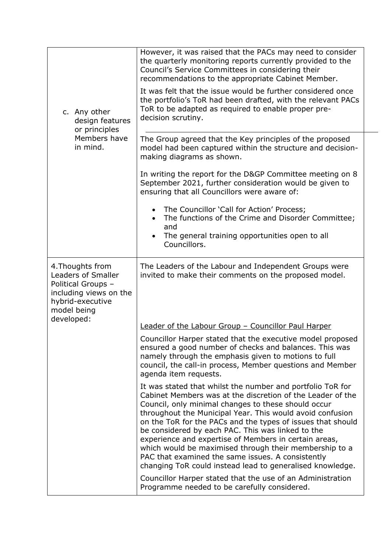| c. Any other<br>design features<br>or principles<br>Members have<br>in mind.                                                            | However, it was raised that the PACs may need to consider<br>the quarterly monitoring reports currently provided to the<br>Council's Service Committees in considering their<br>recommendations to the appropriate Cabinet Member.<br>It was felt that the issue would be further considered once<br>the portfolio's ToR had been drafted, with the relevant PACs<br>ToR to be adapted as required to enable proper pre-<br>decision scrutiny.                                                                                                                                                        |  |
|-----------------------------------------------------------------------------------------------------------------------------------------|-------------------------------------------------------------------------------------------------------------------------------------------------------------------------------------------------------------------------------------------------------------------------------------------------------------------------------------------------------------------------------------------------------------------------------------------------------------------------------------------------------------------------------------------------------------------------------------------------------|--|
|                                                                                                                                         | The Group agreed that the Key principles of the proposed<br>model had been captured within the structure and decision-<br>making diagrams as shown.                                                                                                                                                                                                                                                                                                                                                                                                                                                   |  |
|                                                                                                                                         | In writing the report for the D&GP Committee meeting on 8<br>September 2021, further consideration would be given to<br>ensuring that all Councillors were aware of:                                                                                                                                                                                                                                                                                                                                                                                                                                  |  |
|                                                                                                                                         | The Councillor 'Call for Action' Process;<br>The functions of the Crime and Disorder Committee;<br>and<br>The general training opportunities open to all<br>Councillors.                                                                                                                                                                                                                                                                                                                                                                                                                              |  |
| 4. Thoughts from<br>Leaders of Smaller<br>Political Groups -<br>including views on the<br>hybrid-executive<br>model being<br>developed: | The Leaders of the Labour and Independent Groups were<br>invited to make their comments on the proposed model.                                                                                                                                                                                                                                                                                                                                                                                                                                                                                        |  |
|                                                                                                                                         | Leader of the Labour Group - Councillor Paul Harper                                                                                                                                                                                                                                                                                                                                                                                                                                                                                                                                                   |  |
|                                                                                                                                         | Councillor Harper stated that the executive model proposed<br>ensured a good number of checks and balances. This was<br>namely through the emphasis given to motions to full<br>council, the call-in process, Member questions and Member<br>agenda item requests.                                                                                                                                                                                                                                                                                                                                    |  |
|                                                                                                                                         | It was stated that whilst the number and portfolio ToR for<br>Cabinet Members was at the discretion of the Leader of the<br>Council, only minimal changes to these should occur<br>throughout the Municipal Year. This would avoid confusion<br>on the ToR for the PACs and the types of issues that should<br>be considered by each PAC. This was linked to the<br>experience and expertise of Members in certain areas,<br>which would be maximised through their membership to a<br>PAC that examined the same issues. A consistently<br>changing ToR could instead lead to generalised knowledge. |  |
|                                                                                                                                         | Councillor Harper stated that the use of an Administration<br>Programme needed to be carefully considered.                                                                                                                                                                                                                                                                                                                                                                                                                                                                                            |  |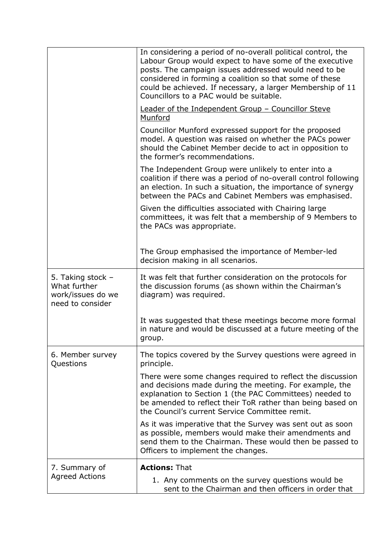|                                                                            | In considering a period of no-overall political control, the<br>Labour Group would expect to have some of the executive<br>posts. The campaign issues addressed would need to be<br>considered in forming a coalition so that some of these<br>could be achieved. If necessary, a larger Membership of 11<br>Councillors to a PAC would be suitable. |
|----------------------------------------------------------------------------|------------------------------------------------------------------------------------------------------------------------------------------------------------------------------------------------------------------------------------------------------------------------------------------------------------------------------------------------------|
|                                                                            | Leader of the Independent Group - Councillor Steve<br>Munford                                                                                                                                                                                                                                                                                        |
|                                                                            | Councillor Munford expressed support for the proposed<br>model. A question was raised on whether the PACs power<br>should the Cabinet Member decide to act in opposition to<br>the former's recommendations.                                                                                                                                         |
|                                                                            | The Independent Group were unlikely to enter into a<br>coalition if there was a period of no-overall control following<br>an election. In such a situation, the importance of synergy<br>between the PACs and Cabinet Members was emphasised.                                                                                                        |
|                                                                            | Given the difficulties associated with Chairing large<br>committees, it was felt that a membership of 9 Members to<br>the PACs was appropriate.                                                                                                                                                                                                      |
|                                                                            | The Group emphasised the importance of Member-led<br>decision making in all scenarios.                                                                                                                                                                                                                                                               |
| 5. Taking stock -<br>What further<br>work/issues do we<br>need to consider | It was felt that further consideration on the protocols for<br>the discussion forums (as shown within the Chairman's<br>diagram) was required.                                                                                                                                                                                                       |
|                                                                            | It was suggested that these meetings become more formal<br>in nature and would be discussed at a future meeting of the<br>group.                                                                                                                                                                                                                     |
| 6. Member survey<br>Questions                                              | The topics covered by the Survey questions were agreed in<br>principle.                                                                                                                                                                                                                                                                              |
|                                                                            | There were some changes required to reflect the discussion<br>and decisions made during the meeting. For example, the<br>explanation to Section 1 (the PAC Committees) needed to<br>be amended to reflect their ToR rather than being based on<br>the Council's current Service Committee remit.                                                     |
|                                                                            | As it was imperative that the Survey was sent out as soon<br>as possible, members would make their amendments and<br>send them to the Chairman. These would then be passed to<br>Officers to implement the changes.                                                                                                                                  |
| 7. Summary of                                                              | <b>Actions: That</b>                                                                                                                                                                                                                                                                                                                                 |
| <b>Agreed Actions</b>                                                      | 1. Any comments on the survey questions would be<br>sent to the Chairman and then officers in order that                                                                                                                                                                                                                                             |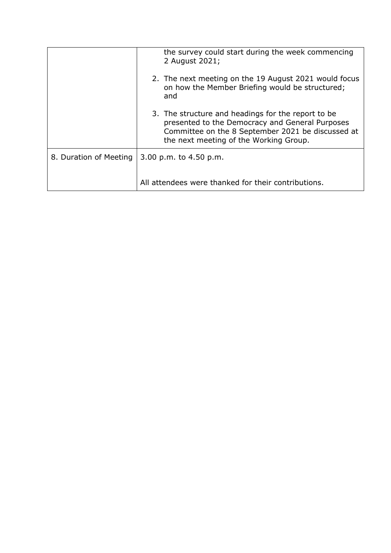|                        | the survey could start during the week commencing<br>2 August 2021;                                                                                                                                  |
|------------------------|------------------------------------------------------------------------------------------------------------------------------------------------------------------------------------------------------|
|                        | 2. The next meeting on the 19 August 2021 would focus<br>on how the Member Briefing would be structured;<br>and                                                                                      |
|                        | 3. The structure and headings for the report to be<br>presented to the Democracy and General Purposes<br>Committee on the 8 September 2021 be discussed at<br>the next meeting of the Working Group. |
| 8. Duration of Meeting | 3.00 p.m. to 4.50 p.m.                                                                                                                                                                               |
|                        | All attendees were thanked for their contributions.                                                                                                                                                  |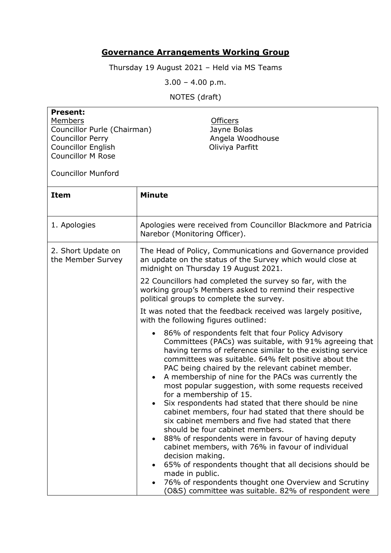## **Governance Arrangements Working Group**

Thursday 19 August 2021 – Held via MS Teams

3.00 – 4.00 p.m.

NOTES (draft)

| <b>Present:</b><br>Members<br><b>Officers</b><br>Councillor Purle (Chairman)<br>Jayne Bolas<br><b>Councillor Perry</b><br>Angela Woodhouse<br><b>Councillor English</b><br>Oliviya Parfitt<br><b>Councillor M Rose</b><br><b>Councillor Munford</b> |                                                                                                                                                                                                                                                                                                                                                                                                                                                                                                                                                                                                                                                                                                                                                                                                                                                                          |  |
|-----------------------------------------------------------------------------------------------------------------------------------------------------------------------------------------------------------------------------------------------------|--------------------------------------------------------------------------------------------------------------------------------------------------------------------------------------------------------------------------------------------------------------------------------------------------------------------------------------------------------------------------------------------------------------------------------------------------------------------------------------------------------------------------------------------------------------------------------------------------------------------------------------------------------------------------------------------------------------------------------------------------------------------------------------------------------------------------------------------------------------------------|--|
| <b>Item</b>                                                                                                                                                                                                                                         | <b>Minute</b>                                                                                                                                                                                                                                                                                                                                                                                                                                                                                                                                                                                                                                                                                                                                                                                                                                                            |  |
| 1. Apologies                                                                                                                                                                                                                                        | Apologies were received from Councillor Blackmore and Patricia<br>Narebor (Monitoring Officer).                                                                                                                                                                                                                                                                                                                                                                                                                                                                                                                                                                                                                                                                                                                                                                          |  |
| 2. Short Update on<br>the Member Survey                                                                                                                                                                                                             | The Head of Policy, Communications and Governance provided<br>an update on the status of the Survey which would close at<br>midnight on Thursday 19 August 2021.                                                                                                                                                                                                                                                                                                                                                                                                                                                                                                                                                                                                                                                                                                         |  |
|                                                                                                                                                                                                                                                     | 22 Councillors had completed the survey so far, with the<br>working group's Members asked to remind their respective<br>political groups to complete the survey.                                                                                                                                                                                                                                                                                                                                                                                                                                                                                                                                                                                                                                                                                                         |  |
|                                                                                                                                                                                                                                                     | It was noted that the feedback received was largely positive,<br>with the following figures outlined:                                                                                                                                                                                                                                                                                                                                                                                                                                                                                                                                                                                                                                                                                                                                                                    |  |
|                                                                                                                                                                                                                                                     | 86% of respondents felt that four Policy Advisory<br>Committees (PACs) was suitable, with 91% agreeing that<br>having terms of reference similar to the existing service<br>committees was suitable. 64% felt positive about the<br>PAC being chaired by the relevant cabinet member.<br>A membership of nine for the PACs was currently the<br>$\bullet$<br>most popular suggestion, with some requests received<br>for a membership of 15.<br>Six respondents had stated that there should be nine<br>cabinet members, four had stated that there should be<br>six cabinet members and five had stated that there<br>should be four cabinet members.<br>88% of respondents were in favour of having deputy<br>cabinet members, with 76% in favour of individual<br>decision making.<br>65% of respondents thought that all decisions should be<br>٠<br>made in public. |  |

• 76% of respondents thought one Overview and Scrutiny (O&S) committee was suitable. 82% of respondent were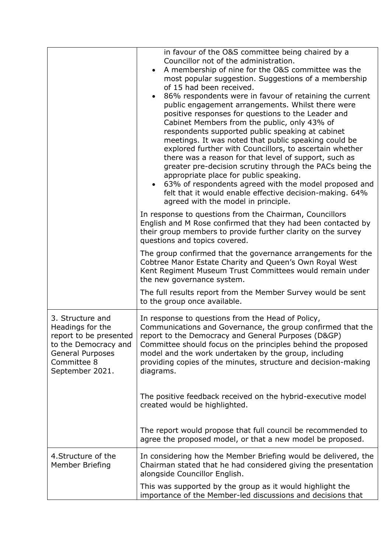|                                                                                                                                                     | in favour of the O&S committee being chaired by a<br>Councillor not of the administration.<br>A membership of nine for the O&S committee was the<br>most popular suggestion. Suggestions of a membership<br>of 15 had been received.<br>86% respondents were in favour of retaining the current<br>public engagement arrangements. Whilst there were<br>positive responses for questions to the Leader and<br>Cabinet Members from the public, only 43% of<br>respondents supported public speaking at cabinet<br>meetings. It was noted that public speaking could be<br>explored further with Councillors, to ascertain whether<br>there was a reason for that level of support, such as<br>greater pre-decision scrutiny through the PACs being the<br>appropriate place for public speaking.<br>63% of respondents agreed with the model proposed and<br>felt that it would enable effective decision-making. 64%<br>agreed with the model in principle.<br>In response to questions from the Chairman, Councillors<br>English and M Rose confirmed that they had been contacted by |
|-----------------------------------------------------------------------------------------------------------------------------------------------------|-----------------------------------------------------------------------------------------------------------------------------------------------------------------------------------------------------------------------------------------------------------------------------------------------------------------------------------------------------------------------------------------------------------------------------------------------------------------------------------------------------------------------------------------------------------------------------------------------------------------------------------------------------------------------------------------------------------------------------------------------------------------------------------------------------------------------------------------------------------------------------------------------------------------------------------------------------------------------------------------------------------------------------------------------------------------------------------------|
|                                                                                                                                                     | their group members to provide further clarity on the survey<br>questions and topics covered.                                                                                                                                                                                                                                                                                                                                                                                                                                                                                                                                                                                                                                                                                                                                                                                                                                                                                                                                                                                           |
|                                                                                                                                                     | The group confirmed that the governance arrangements for the<br>Cobtree Manor Estate Charity and Queen's Own Royal West<br>Kent Regiment Museum Trust Committees would remain under<br>the new governance system.                                                                                                                                                                                                                                                                                                                                                                                                                                                                                                                                                                                                                                                                                                                                                                                                                                                                       |
|                                                                                                                                                     | The full results report from the Member Survey would be sent<br>to the group once available.                                                                                                                                                                                                                                                                                                                                                                                                                                                                                                                                                                                                                                                                                                                                                                                                                                                                                                                                                                                            |
| 3. Structure and<br>Headings for the<br>report to be presented<br>to the Democracy and<br><b>General Purposes</b><br>Committee 8<br>September 2021. | In response to questions from the Head of Policy,<br>Communications and Governance, the group confirmed that the<br>report to the Democracy and General Purposes (D&GP)<br>Committee should focus on the principles behind the proposed<br>model and the work undertaken by the group, including<br>providing copies of the minutes, structure and decision-making<br>diagrams.                                                                                                                                                                                                                                                                                                                                                                                                                                                                                                                                                                                                                                                                                                         |
|                                                                                                                                                     | The positive feedback received on the hybrid-executive model<br>created would be highlighted.                                                                                                                                                                                                                                                                                                                                                                                                                                                                                                                                                                                                                                                                                                                                                                                                                                                                                                                                                                                           |
|                                                                                                                                                     | The report would propose that full council be recommended to<br>agree the proposed model, or that a new model be proposed.                                                                                                                                                                                                                                                                                                                                                                                                                                                                                                                                                                                                                                                                                                                                                                                                                                                                                                                                                              |
| 4. Structure of the<br>Member Briefing                                                                                                              | In considering how the Member Briefing would be delivered, the<br>Chairman stated that he had considered giving the presentation<br>alongside Councillor English.                                                                                                                                                                                                                                                                                                                                                                                                                                                                                                                                                                                                                                                                                                                                                                                                                                                                                                                       |
|                                                                                                                                                     | This was supported by the group as it would highlight the<br>importance of the Member-led discussions and decisions that                                                                                                                                                                                                                                                                                                                                                                                                                                                                                                                                                                                                                                                                                                                                                                                                                                                                                                                                                                |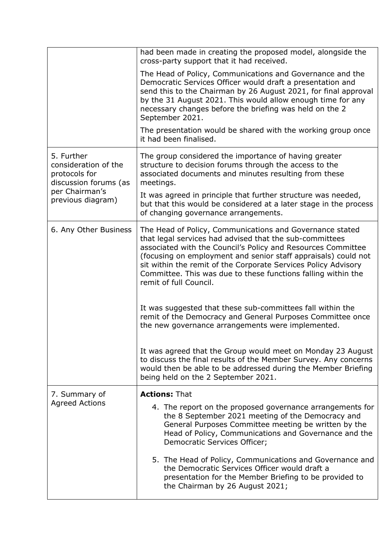|                                                                                                                     | had been made in creating the proposed model, alongside the<br>cross-party support that it had received.                                                                                                                                                                                                                                                                                                           |
|---------------------------------------------------------------------------------------------------------------------|--------------------------------------------------------------------------------------------------------------------------------------------------------------------------------------------------------------------------------------------------------------------------------------------------------------------------------------------------------------------------------------------------------------------|
|                                                                                                                     | The Head of Policy, Communications and Governance and the<br>Democratic Services Officer would draft a presentation and<br>send this to the Chairman by 26 August 2021, for final approval<br>by the 31 August 2021. This would allow enough time for any<br>necessary changes before the briefing was held on the 2<br>September 2021.                                                                            |
|                                                                                                                     | The presentation would be shared with the working group once<br>it had been finalised.                                                                                                                                                                                                                                                                                                                             |
| 5. Further<br>consideration of the<br>protocols for<br>discussion forums (as<br>per Chairman's<br>previous diagram) | The group considered the importance of having greater<br>structure to decision forums through the access to the<br>associated documents and minutes resulting from these<br>meetings.                                                                                                                                                                                                                              |
|                                                                                                                     | It was agreed in principle that further structure was needed,<br>but that this would be considered at a later stage in the process<br>of changing governance arrangements.                                                                                                                                                                                                                                         |
| 6. Any Other Business                                                                                               | The Head of Policy, Communications and Governance stated<br>that legal services had advised that the sub-committees<br>associated with the Council's Policy and Resources Committee<br>(focusing on employment and senior staff appraisals) could not<br>sit within the remit of the Corporate Services Policy Advisory<br>Committee. This was due to these functions falling within the<br>remit of full Council. |
|                                                                                                                     | It was suggested that these sub-committees fall within the<br>remit of the Democracy and General Purposes Committee once<br>the new governance arrangements were implemented.                                                                                                                                                                                                                                      |
|                                                                                                                     | It was agreed that the Group would meet on Monday 23 August<br>to discuss the final results of the Member Survey. Any concerns<br>would then be able to be addressed during the Member Briefing<br>being held on the 2 September 2021.                                                                                                                                                                             |
| 7. Summary of<br><b>Agreed Actions</b>                                                                              | <b>Actions: That</b>                                                                                                                                                                                                                                                                                                                                                                                               |
|                                                                                                                     | 4. The report on the proposed governance arrangements for<br>the 8 September 2021 meeting of the Democracy and<br>General Purposes Committee meeting be written by the<br>Head of Policy, Communications and Governance and the<br>Democratic Services Officer;                                                                                                                                                    |
|                                                                                                                     | 5. The Head of Policy, Communications and Governance and<br>the Democratic Services Officer would draft a<br>presentation for the Member Briefing to be provided to<br>the Chairman by 26 August 2021;                                                                                                                                                                                                             |